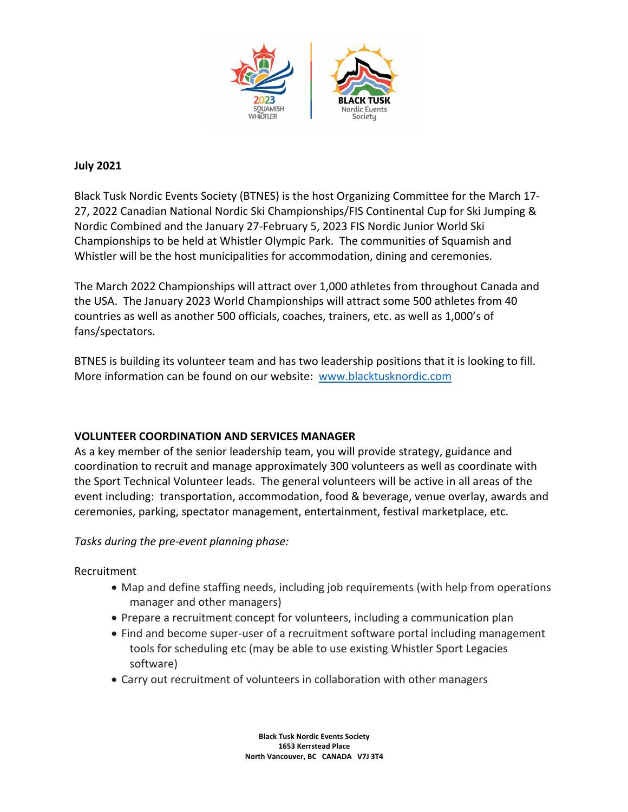

### **July 2021**

Black Tusk Nordic Events Society (BTNES) is the host Organizing Committee for the March 17- 27, 2022 Canadian National Nordic Ski Championships/FIS Continental Cup for Ski Jumping & Nordic Combined and the January 27-February 5, 2023 FIS Nordic Junior World Ski Championships to be held at Whistler Olympic Park. The communities of Squamish and Whistler will be the host municipalities for accommodation, dining and ceremonies.

The March 2022 Championships will attract over 1,000 athletes from throughout Canada and the USA. The January 2023 World Championships will attract some 500 athletes from 40 countries as well as another 500 officials, coaches, trainers, etc. as well as 1,000's of fans/spectators.

BTNES is building its volunteer team and has two leadership positions that it is looking to fill. More information can be found on our website: www.blacktusknordic.com

# **VOLUNTEER COORDINATION AND SERVICES MANAGER**

As a key member of the senior leadership team, you will provide strategy, guidance and coordination to recruit and manage approximately 300 volunteers as well as coordinate with the Sport Technical Volunteer leads. The general volunteers will be active in all areas of the event including: transportation, accommodation, food & beverage, venue overlay, awards and ceremonies, parking, spectator management, entertainment, festival marketplace, etc.

*Tasks during the pre-event planning phase:* 

Recruitment

- Map and define staffing needs, including job requirements (with help from operations manager and other managers)
- Prepare a recruitment concept for volunteers, including a communication plan
- Find and become super-user of a recruitment software portal including management tools for scheduling etc (may be able to use existing Whistler Sport Legacies software)
- Carry out recruitment of volunteers in collaboration with other managers

**Black Tusk Nordic Events Society 1653 Kerrstead Place North Vancouver, BC CANADA V7J 3T4**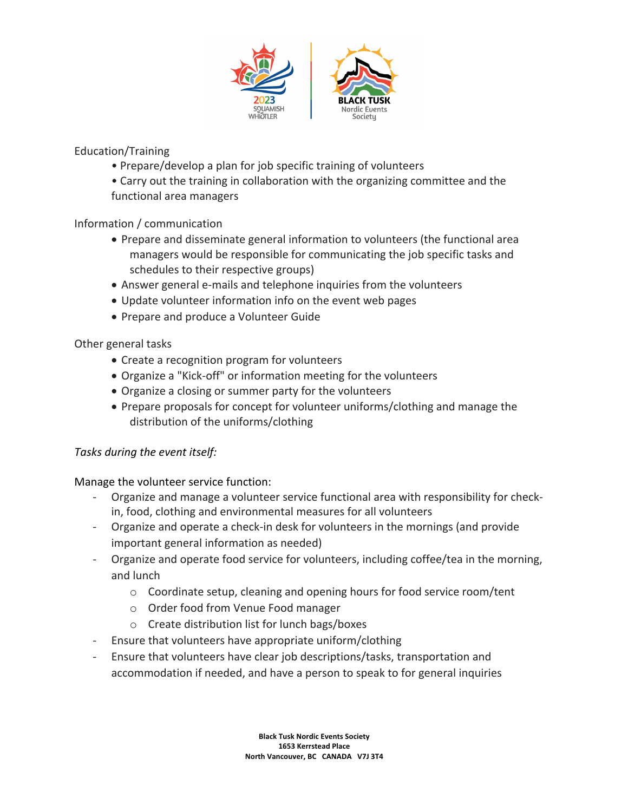

Education/Training

- Prepare/develop a plan for job specific training of volunteers
- Carry out the training in collaboration with the organizing committee and the functional area managers

# Information / communication

- Prepare and disseminate general information to volunteers (the functional area managers would be responsible for communicating the job specific tasks and schedules to their respective groups)
- Answer general e-mails and telephone inquiries from the volunteers
- Update volunteer information info on the event web pages
- Prepare and produce a Volunteer Guide

# Other general tasks

- Create a recognition program for volunteers
- Organize a "Kick-off" or information meeting for the volunteers
- Organize a closing or summer party for the volunteers
- Prepare proposals for concept for volunteer uniforms/clothing and manage the distribution of the uniforms/clothing

#### *Tasks during the event itself:*

Manage the volunteer service function:

- Organize and manage a volunteer service functional area with responsibility for checkin, food, clothing and environmental measures for all volunteers
- Organize and operate a check-in desk for volunteers in the mornings (and provide important general information as needed)
- Organize and operate food service for volunteers, including coffee/tea in the morning, and lunch
	- o Coordinate setup, cleaning and opening hours for food service room/tent
	- o Order food from Venue Food manager
	- o Create distribution list for lunch bags/boxes
- Ensure that volunteers have appropriate uniform/clothing
- Ensure that volunteers have clear job descriptions/tasks, transportation and accommodation if needed, and have a person to speak to for general inquiries

**Black Tusk Nordic Events Society 1653 Kerrstead Place North Vancouver, BC CANADA V7J 3T4**